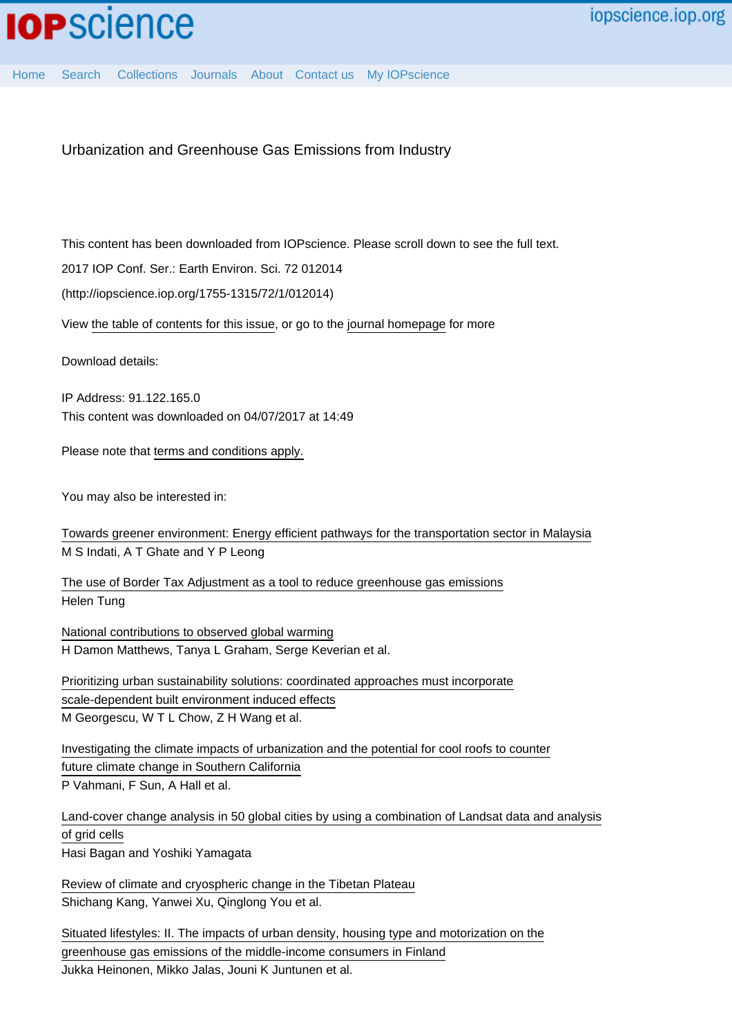Urbanization and Greenhouse Gas Emissions from Industry

This content has been downloaded from IOPscience. Please scroll down to see the full text.

2017 IOP Conf. Ser.: Earth Environ. Sci. 72 012014

(http://iopscience.iop.org/1755-1315/72/1/012014)

View [the table of contents for this issue](http://iopscience.iop.org/1755-1315/72/1), or go to the [journal homepage](http://iopscience.iop.org/1755-1315) for more

Download details:

IP Address: 91.122.165.0 This content was downloaded on 04/07/2017 at 14:49

Please note that [terms and conditions apply.](http://iopscience.iop.org/page/terms)

You may also be interested in:

[Towards greener environment: Energy efficient pathways for the transportation sector in Malaysia](http://iopscience.iop.org/article/10.1088/1755-1315/16/1/012122) M S Indati, A T Ghate and Y P Leong

[The use of Border Tax Adjustment as a tool to reduce greenhouse gas emissions](http://iopscience.iop.org/article/10.1088/1755-1307/6/50/502022) Helen Tung

[National contributions to observed global warming](http://iopscience.iop.org/article/10.1088/1748-9326/9/1/014010) H Damon Matthews, Tanya L Graham, Serge Keverian et al.

[Prioritizing urban sustainability solutions: coordinated approaches must incorporate](http://iopscience.iop.org/article/10.1088/1748-9326/10/6/061001) [scale-dependent built environment induced effects](http://iopscience.iop.org/article/10.1088/1748-9326/10/6/061001) M Georgescu, W T L Chow, Z H Wang et al.

[Investigating the climate impacts of urbanization and the potential for cool roofs to counter](http://iopscience.iop.org/article/10.1088/1748-9326/11/12/124027) [future climate change in Southern California](http://iopscience.iop.org/article/10.1088/1748-9326/11/12/124027) P Vahmani, F Sun, A Hall et al.

[Land-cover change analysis in 50 global cities by using a combination of Landsat data and analysis](http://iopscience.iop.org/article/10.1088/1748-9326/9/6/064015) [of grid cells](http://iopscience.iop.org/article/10.1088/1748-9326/9/6/064015) Hasi Bagan and Yoshiki Yamagata

[Review of climate and cryospheric change in the Tibetan Plateau](http://iopscience.iop.org/article/10.1088/1748-9326/5/1/015101) Shichang Kang, Yanwei Xu, Qinglong You et al.

[Situated lifestyles: II. The impacts of urban density, housing type and motorization on the](http://iopscience.iop.org/article/10.1088/1748-9326/8/3/035050) [greenhouse gas emissions of the middle-income consumers in Finland](http://iopscience.iop.org/article/10.1088/1748-9326/8/3/035050) Jukka Heinonen, Mikko Jalas, Jouni K Juntunen et al.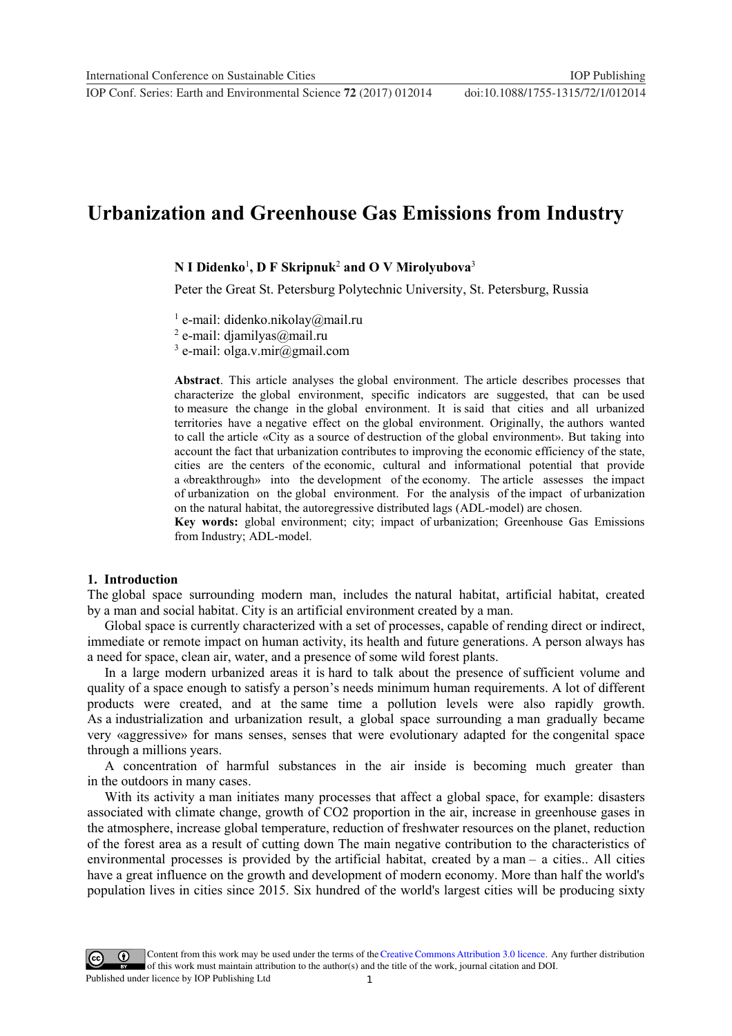# **Urbanization and Greenhouse Gas Emissions from Industry**

## **N I Didenko**<sup>1</sup> **, D F Skripnuk**<sup>2</sup>  **and O V Mirolyubova**<sup>3</sup>

Peter the Great St. Petersburg Polytechnic University, St. Petersburg, Russia

<sup>1</sup> e-mail: didenko.nikolay@mail.ru

<sup>2</sup> e-mail: djamilyas@mail.ru

<sup>3</sup> e-mail: olga.v.mir@gmail.com

**Abstract**. This article analyses the global environment. The article describes processes that characterize the global environment, specific indicators are suggested, that can be used to measure the change in the global environment. It is said that cities and all urbanized territories have a negative effect on the global environment. Originally, the authors wanted to call the article «City as a source of destruction of the global environment». But taking into account the fact that urbanization contributes to improving the economic efficiency of the state, cities are the centers of the economic, cultural and informational potential that provide a «breakthrough» into the development of the economy. The article assesses the impact of urbanization on the global environment. For the analysis of the impact of urbanization on the natural habitat, the autoregressive distributed lags (ADL-model) are chosen.

**Key words:** global environment; city; impact of urbanization; Greenhouse Gas Emissions from Industry; ADL-model.

#### **1. Introduction**

The global space surrounding modern man, includes the natural habitat, artificial habitat, created by a man and social habitat. City is an artificial environment created by a man.

Global space is currently characterized with a set of processes, capable of rending direct or indirect, immediate or remote impact on human activity, its health and future generations. A person always has a need for space, clean air, water, and a presence of some wild forest plants.

In a large modern urbanized areas it is hard to talk about the presence of sufficient volume and quality of a space enough to satisfy a person's needs minimum human requirements. A lot of different products were created, and at the same time a pollution levels were also rapidly growth. Аs a industrialization and urbanization result, a global space surrounding a man gradually became very «aggressive» for mans senses, senses that were evolutionary adapted for the congenital space through a millions years.

A concentration of harmful substances in the air inside is becoming much greater than in the outdoors in many cases.

With its activity a man initiates many processes that affect a global space, for example: disasters associated with climate change, growth of CO2 proportion in the air, increase in greenhouse gases in the atmosphere, increase global temperature, reduction of freshwater resources on the planet, reduction of the forest area as a result of cutting down The main negative contribution to the characteristics of environmental processes is provided by the artificial habitat, created by a man – a cities.. All cities have a great influence on the growth and development of modern economy. More than half the world's population lives in cities since 2015. Six hundred of the world's largest cities will be producing sixty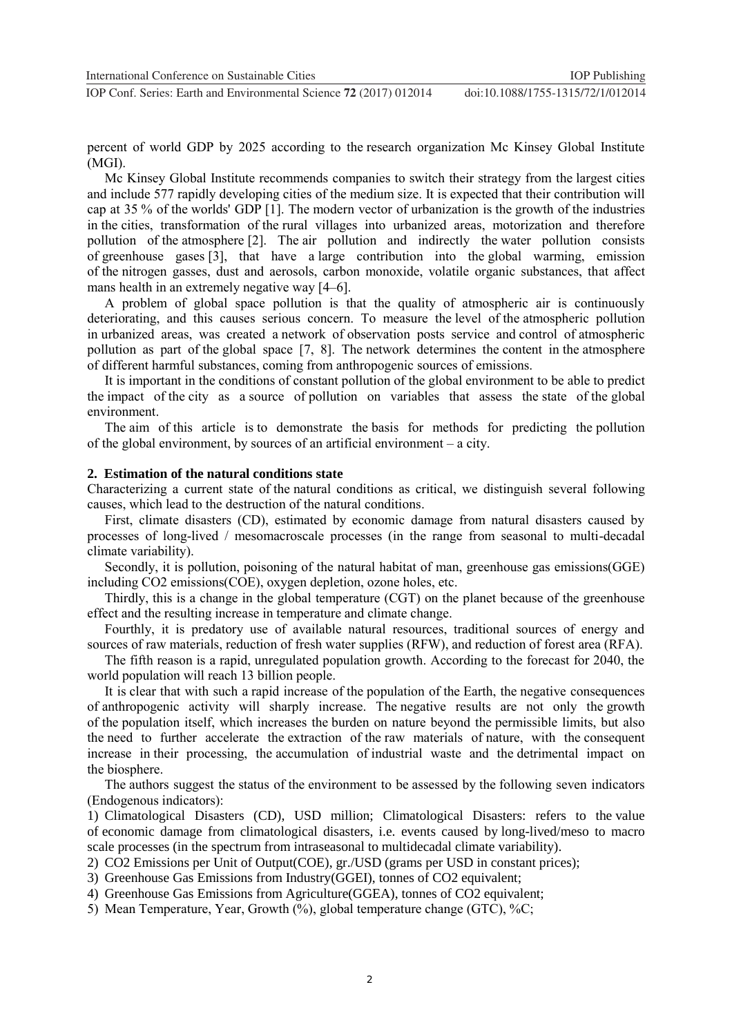percent of world GDP by 2025 according to the research organization Mc Kinsey Global Institute (MGI).

Mc Kinsey Global Institute recommends companies to switch their strategy from the largest cities and include 577 rapidly developing cities of the medium size. It is expected that their contribution will cap at 35 % of the worlds' GDP [1]. The modern vector of urbanization is the growth of the industries in the cities, transformation of the rural villages into urbanized areas, motorization and therefore pollution of the atmosphere [2]. The air pollution and indirectly the water pollution consists of greenhouse gases [3], that have a large contribution into the global warming, emission of the nitrogen gasses, dust and aerosols, carbon monoxide, volatile organic substances, that affect mans health in an extremely negative way [4–6].

A problem of global space pollution is that the quality of atmospheric air is continuously deteriorating, and this causes serious concern. To measure the level of the atmospheric pollution in urbanized areas, was created a network of observation posts service and control of atmospheric pollution as part of the global space [7, 8]. The network determines the content in the atmosphere of different harmful substances, coming from anthropogenic sources of emissions.

It is important in the conditions of constant pollution of the global environment to be able to predict the impact of the city as a source of pollution on variables that assess the state of the global environment.

The aim of this article is to demonstrate the basis for methods for predicting the pollution of the global environment, by sources of an artificial environment – a city.

## **2. Estimation of the natural conditions state**

Characterizing a current state of the natural conditions as critical, we distinguish several following causes, which lead to the destruction of the natural conditions.

First, climate disasters (CD), estimated by economic damage from natural disasters caused by processes of long-lived / mesomacroscale processes (in the range from seasonal to multi-decadal climate variability).

Secondly, it is pollution, poisoning of the natural habitat of man, greenhouse gas emissions(GGE) including CO2 emissions(COE), oxygen depletion, ozone holes, etc.

Thirdly, this is a change in the global temperature (CGT) on the planet because of the greenhouse effect and the resulting increase in temperature and climate change.

Fourthly, it is predatory use of available natural resources, traditional sources of energy and sources of raw materials, reduction of fresh water supplies (RFW), and reduction of forest area (RFA).

The fifth reason is a rapid, unregulated population growth. According to the forecast for 2040, the world population will reach 13 billion people.

It is clear that with such a rapid increase of the population of the Earth, the negative consequences of anthropogenic activity will sharply increase. The negative results are not only the growth of the population itself, which increases the burden on nature beyond the permissible limits, but also the need to further accelerate the extraction of the raw materials of nature, with the consequent increase in their processing, the accumulation of industrial waste and the detrimental impact on the biosphere.

The authors suggest the status of the environment to be assessed by the following seven indicators (Endogenous indicators):

1) Climatological Disasters (CD), USD million; Climatological Disasters: refers to the value of economic damage from climatological disasters, i.e. events caused by long-lived/meso to macro scale processes (in the spectrum from intraseasonal to multidecadal climate variability).

2) CO2 Emissions per Unit of Output(COE), gr./USD (grams per USD in constant prices);

3) Greenhouse Gas Emissions from Industry(GGEI), tonnes of CO2 equivalent;

4) Greenhouse Gas Emissions from Agriculture(GGEA), tonnes of CO2 equivalent;

5) Mean Temperature, Year, Growth (%), global temperature change (GTC), %C;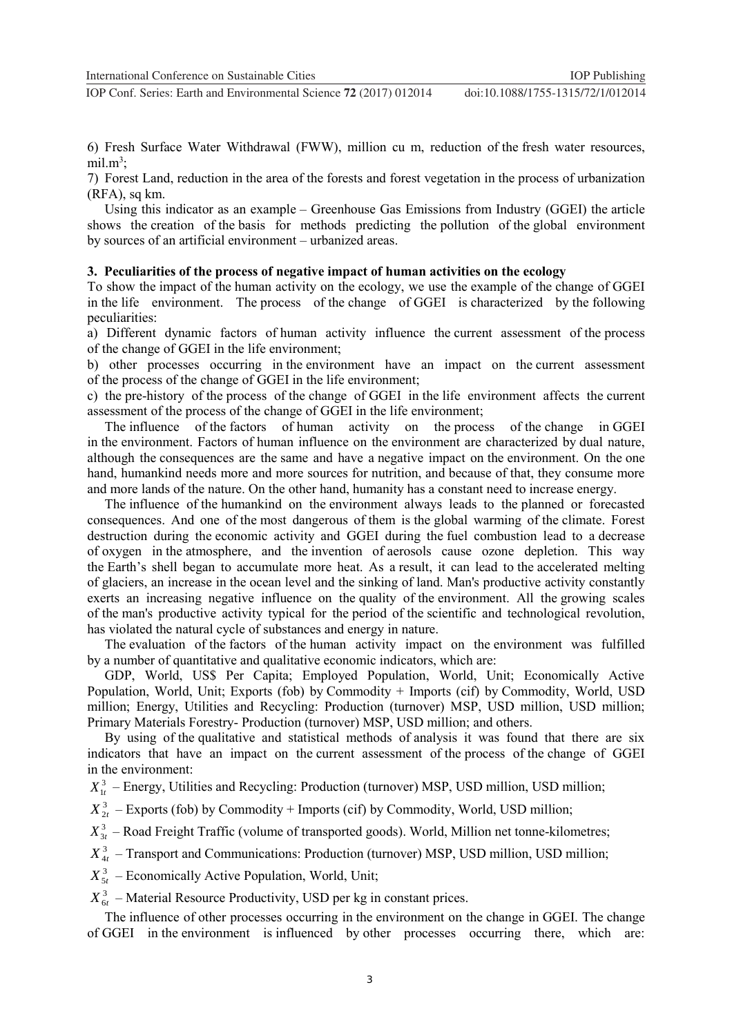6) Fresh Surface Water Withdrawal (FWW), million cu m, reduction of the fresh water resources,  $m$ il.m<sup>3</sup>;

7) Forest Land, reduction in the area of the forests and forest vegetation in the process of urbanization (RFA), sq km.

Using this indicator as an example – Greenhouse Gas Emissions from Industry (GGEI) the article shows the creation of the basis for methods predicting the pollution of the global environment by sources of an artificial environment – urbanized areas.

## **3. Peculiarities of the process of negative impact of human activities on the ecology**

To show the impact of the human activity on the ecology, we use the example of the change of GGEI in the life environment. The process of the change of GGEI is characterized by the following peculiarities:

a) Different dynamic factors of human activity influence the current assessment of the process of the change of GGEI in the life environment;

b) other processes occurring in the environment have an impact on the current assessment of the process of the change of GGEI in the life environment;

c) the pre-history of the process of the change of GGEI in the life environment affects the current assessment of the process of the change of GGEI in the life environment;

The influence of the factors of human activity on the process of the change in GGEI in the environment. Factors of human influence on the environment are characterized by dual nature, although the consequences are the same and have a negative impact on the environment. On the one hand, humankind needs more and more sources for nutrition, and because of that, they consume more and more lands of the nature. On the other hand, humanity has a constant need to increase energy.

The influence of the humankind on the environment always leads to the planned or forecasted consequences. And one of the most dangerous of them is the global warming of the climate. Forest destruction during the economic activity and GGEI during the fuel combustion lead to a decrease of oxygen in the atmosphere, and the invention of aerosols cause ozone depletion. This way the Earth's shell began to accumulate more heat. As a result, it can lead to the accelerated melting of glaciers, an increase in the ocean level and the sinking of land. Man's productive activity constantly exerts an increasing negative influence on the quality of the environment. All the growing scales of the man's productive activity typical for the period of the scientific and technological revolution, has violated the natural cycle of substances and energy in nature.

The evaluation of the factors of the human activity impact on the environment was fulfilled by a number of quantitative and qualitative economic indicators, which are:

GDP, World, US\$ Per Capita; Employed Population, World, Unit; Economically Active Population, World, Unit; Exports (fob) by Commodity + Imports (cif) by Commodity, World, USD million; Energy, Utilities and Recycling: Production (turnover) MSP, USD million, USD million; Primary Materials Forestry- Production (turnover) MSP, USD million; and others.

By using of the qualitative and statistical methods of analysis it was found that there are six indicators that have an impact on the current assessment of the process of the change of GGEI in the environment:

 $X_{1t}^3$  – Energy, Utilities and Recycling: Production (turnover) MSP, USD million, USD million;

 $X_{2t}^3$  – Exports (fob) by Commodity + Imports (cif) by Commodity, World, USD million;

3 *X*3*t* – Road Freight Traffic (volume of transported goods). World, Million net tonne-kilometres;

 $X_{4t}^3$  – Transport and Communications: Production (turnover) MSP, USD million, USD million;

 $X_{5t}^3$  – Economically Active Population, World, Unit;

 $X_{6t}^3$  – Material Resource Productivity, USD per kg in constant prices.

The influence of other processes occurring in the environment on the change in GGEI. The change of GGEI in the environment is influenced by other processes occurring there, which are: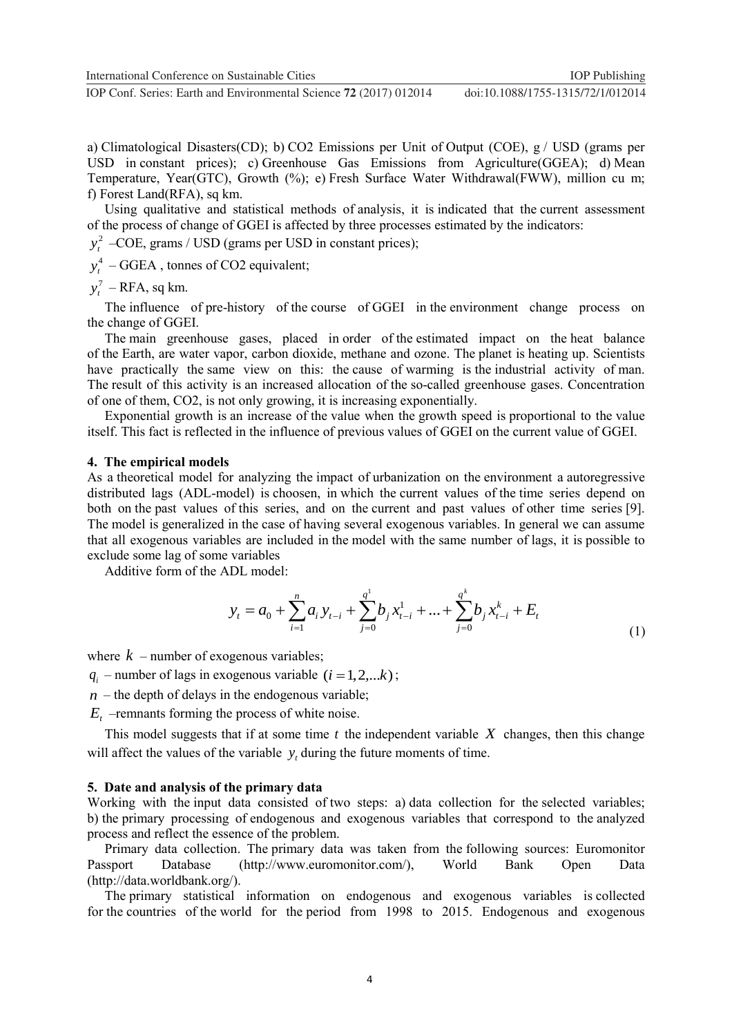a) Climatological Disasters(CD); b) CO2 Emissions per Unit of Output (COE), g / USD (grams per USD in constant prices); c) Greenhouse Gas Emissions from Agriculture(GGEA); d) Mean Temperature, Year(GTC), Growth (%); e) Fresh Surface Water Withdrawal(FWW), million cu m; f) Forest Land(RFA), sq km.

Using qualitative and statistical methods of analysis, it is indicated that the current assessment of the process of change of GGEI is affected by three processes estimated by the indicators:

2 *t y* –COE, grams / USD (grams per USD in constant prices);

 $y_t^4$  – GGEA, tonnes of CO2 equivalent;

 $y_t^7$  – RFA, sq km.

The influence of pre-history of the course of GGEI in the environment change process on the change of GGEI.

The main greenhouse gases, placed in order of the estimated impact on the heat balance of the Earth, are water vapor, carbon dioxide, methane and ozone. The planet is heating up. Scientists have practically the same view on this: the cause of warming is the industrial activity of man. The result of this activity is an increased allocation of the so-called greenhouse gases. Concentration of one of them, СО2, is not only growing, it is increasing exponentially.

Exponential growth is an increase of the value when the growth speed is proportional to the value itself. This fact is reflected in the influence of previous values of GGEI on the current value of GGEI.

#### **4. The empirical models**

As a theoretical model for analyzing the impact of urbanization on the environment a autoregressive distributed lags (ADL-model) is choosen, in which the current values of the time series depend on both on the past values of this series, and on the current and past values of other time series [9]. The model is generalized in the case of having several exogenous variables. In general we can assume that all exogenous variables are included in the model with the same number of lags, it is possible to exclude some lag of some variables

Additive form of the ADL model:

$$
y_{t} = a_{0} + \sum_{i=1}^{n} a_{i} y_{t-i} + \sum_{j=0}^{q^{1}} b_{j} x_{t-i}^{1} + \dots + \sum_{j=0}^{q^{k}} b_{j} x_{t-i}^{k} + E_{t}
$$
\n(1)

where  $k$  – number of exogenous variables;

 $q_i$  – number of lags in exogenous variable  $(i = 1, 2, ...k)$ ;

 $n$  – the depth of delays in the endogenous variable;

 $E_t$  –remnants forming the process of white noise.

This model suggests that if at some time  $t$  the independent variable  $X$  changes, then this change will affect the values of the variable  $y_t$  during the future moments of time.

#### **5. Date and analysis of the primary data**

Working with the input data consisted of two steps: a) data collection for the selected variables; b) the primary processing of endogenous and exogenous variables that correspond to the analyzed process and reflect the essence of the problem.

Primary data collection. The primary data was taken from the following sources: Euromonitor Passport Database (http://www.euromonitor.com/), World Bank Open Data [\(http://data.worldbank.org/\)](http://data.worldbank.org/).

The primary statistical information on endogenous and exogenous variables is collected for the countries of the world for the period from 1998 to 2015. Endogenous and exogenous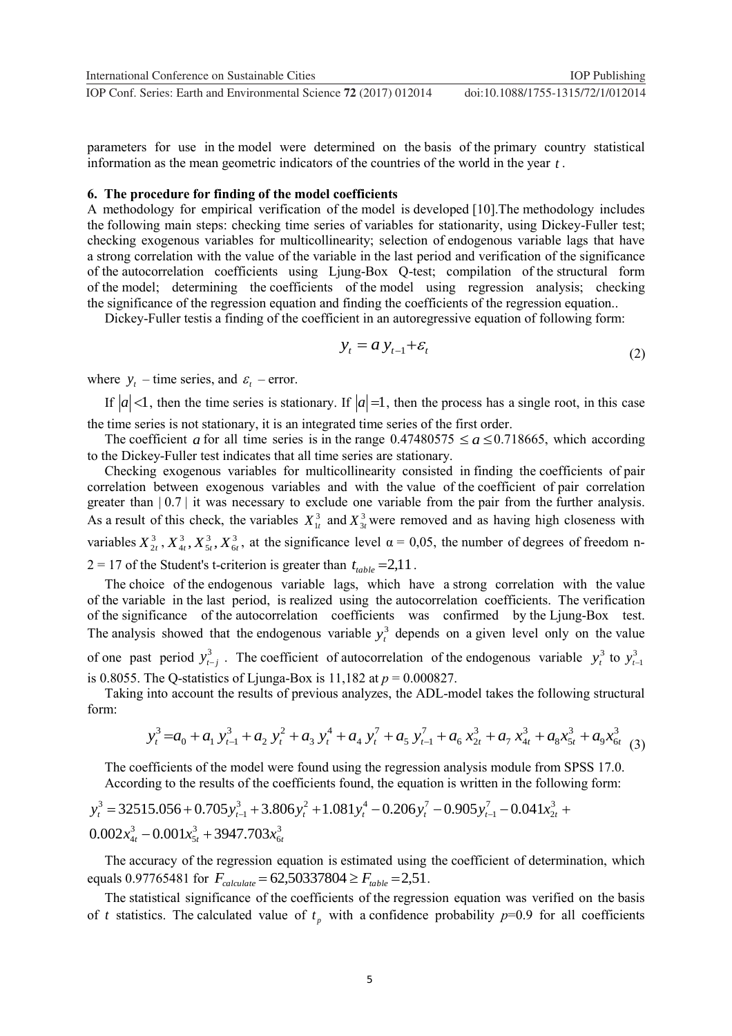parameters for use in the model were determined on the basis of the primary country statistical information as the mean geometric indicators of the countries of the world in the year *t* .

## **6. The procedure for finding of the model coefficients**

A methodology for empirical verification of the model is developed [10].The methodology includes the following main steps: checking time series of variables for stationarity, using Dickey-Fuller test; checking exogenous variables for multicollinearity; selection of endogenous variable lags that have a strong correlation with the value of the variable in the last period and verification of the significance of the autocorrelation coefficients using Ljung-Box Q-test; compilation of the structural form of the model; determining the coefficients of the model using regression analysis; checking the significance of the regression equation and finding the coefficients of the regression equation..

Dickey-Fuller testis a finding of the coefficient in an autoregressive equation of following form:

$$
y_t = a y_{t-1} + \varepsilon_t \tag{2}
$$

where  $y_t$  – time series, and  $\varepsilon_t$  – error.

If  $|a|$  <1, then the time series is stationary. If  $|a|=1$ , then the process has a single root, in this case the time series is not stationary, it is an integrated time series of the first order.

The coefficient *a* for all time series is in the range  $0.47480575 \le a \le 0.718665$ , which according to the Dickey-Fuller test indicates that all time series are stationary.

Checking exogenous variables for multicollinearity consisted in finding the coefficients of pair correlation between exogenous variables and with the value of the coefficient of pair correlation greater than | 0.7 | it was necessary to exclude one variable from the pair from the further analysis. As a result of this check, the variables  $X_{1t}^{3}$  and  $X_{3t}^{3}$  were removed and as having high closeness with variables  $X^3_{2t}$ ,  $X^3_{4t}$ ,  $X^3_{5t}$ ,  $X^3_{6t}$ , at the significance level  $\alpha = 0.05$ , the number of degrees of freedom n- $2 = 17$  of the Student's t-criterion is greater than  $t_{table} = 2.11$ .

The choice of the endogenous variable lags, which have a strong correlation with the value of the variable in the last period, is realized using the autocorrelation coefficients. The verification of the significance of the autocorrelation coefficients was confirmed by the Ljung-Box test. The analysis showed that the endogenous variable  $y_t^3$  depends on a given level only on the value of one past period  $y_t^3$  $y_{t-j}^3$ . The coefficient of autocorrelation of the endogenous variable  $y_t^3$  to  $y_{t-1}^3$ is 0.8055. The Q-statistics of Ljunga-Box is 11,182 at *p* = 0.000827.

Taking into account the results of previous analyzes, the ADL-model takes the following structural form:

$$
y_t^3 = a_0 + a_1 y_{t-1}^3 + a_2 y_t^2 + a_3 y_t^4 + a_4 y_t^7 + a_5 y_{t-1}^7 + a_6 x_{2t}^3 + a_7 x_{4t}^3 + a_8 x_{5t}^3 + a_9 x_{6t}^3
$$
 (3)

The coefficients of the model were found using the regression analysis module from SPSS 17.0. According to the results of the coefficients found, the equation is written in the following form:

$$
y_t^3 = 32515.056 + 0.705 y_{t-1}^3 + 3.806 y_t^2 + 1.081 y_t^4 - 0.206 y_t^7 - 0.905 y_{t-1}^7 - 0.041 x_{2t}^3 + 0.002 x_{4t}^3 - 0.001 x_{5t}^3 + 3947.703 x_{6t}^3
$$

The accuracy of the regression equation is estimated using the coefficient of determination, which equals 0.97765481 for  $F_{\text{calculate}} = 62,50337804 \ge F_{\text{table}} = 2,51$ .

The statistical significance of the coefficients of the regression equation was verified on the basis of t statistics. The calculated value of  $t_p$  with a confidence probability  $p=0.9$  for all coefficients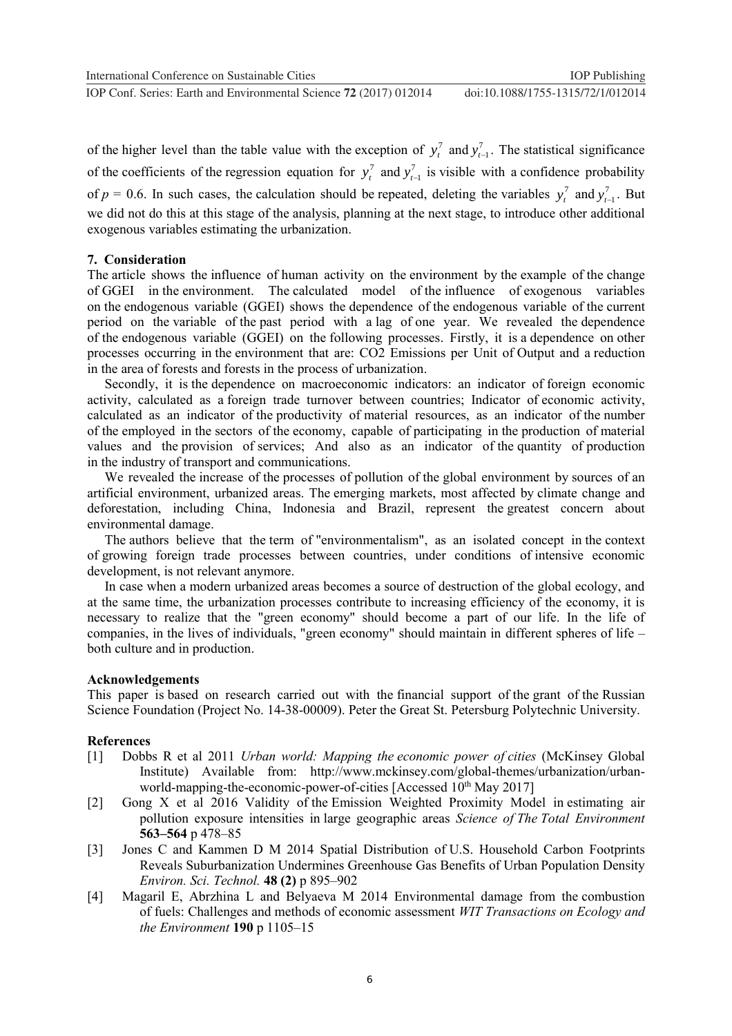of the higher level than the table value with the exception of  $y_t^7$  and  $y_{t-1}^7$ . The statistical significance of the coefficients of the regression equation for  $y_t^7$  and  $y_{t-1}^7$  is visible with a confidence probability of  $p = 0.6$ . In such cases, the calculation should be repeated, deleting the variables  $y_t^7$  and  $y_{t-1}^7$ . But we did not do this at this stage of the analysis, planning at the next stage, to introduce other additional exogenous variables estimating the urbanization.

#### **7. Consideration**

The article shows the influence of human activity on the environment by the example of the change of GGEI in the environment. The calculated model of the influence of exogenous variables on the endogenous variable (GGEI) shows the dependence of the endogenous variable of the current period on the variable of the past period with a lag of one year. We revealed the dependence of the endogenous variable (GGEI) on the following processes. Firstly, it is a dependence on other processes occurring in the environment that are: CO2 Emissions per Unit of Output and a reduction in the area of forests and forests in the process of urbanization.

Secondly, it is the dependence on macroeconomic indicators: an indicator of foreign economic activity, calculated as a foreign trade turnover between countries; Indicator of economic activity, calculated as an indicator of the productivity of material resources, as an indicator of the number of the employed in the sectors of the economy, capable of participating in the production of material values and the provision of services; And also as an indicator of the quantity of production in the industry of transport and communications.

We revealed the increase of the processes of pollution of the global environment by sources of an artificial environment, urbanized areas. The emerging markets, most affected by climate change and deforestation, including China, Indonesia and Brazil, represent the greatest concern about environmental damage.

The authors believe that the term of "environmentalism", as an isolated concept in the context of growing foreign trade processes between countries, under conditions of intensive economic development, is not relevant anymore.

In case when a modern urbanized areas becomes a source of destruction of the global ecology, and at the same time, the urbanization processes contribute to increasing efficiency of the economy, it is necessary to realize that the "green economy" should become a part of our life. In the life of companies, in the lives of individuals, "green economy" should maintain in different spheres of life – both culture and in production.

### **Acknowledgements**

This paper is based on research carried out with the financial support of the grant of the Russian Science Foundation (Project No. 14-38-00009). Peter the Great St. Petersburg Polytechnic University.

#### **References**

- [1] Dobbs R et al 2011 *Urban world: Mapping the economic power of cities* (McKinsey Global Institute) Available from: [http://www.mckinsey.com/global-themes/urbanization/urban](http://www.mckinsey.com/global-themes/urbanization/urban-world-mapping-the-economic-power-of-cities)[world-mapping-the-economic-power-of-cities](http://www.mckinsey.com/global-themes/urbanization/urban-world-mapping-the-economic-power-of-cities) [Accessed  $10<sup>th</sup>$  May 2017]
- [2] Gong X et al 2016 Validity of the Emission Weighted Proximity Model in estimating air pollution exposure intensities in large geographic areas *Science of The Total Environment* **563–564** p 478–85
- [3] Jones C and Kammen D M 2014 Spatial Distribution of U.S. Household Carbon Footprints Reveals Suburbanization Undermines Greenhouse Gas Benefits of Urban Population Density *Environ. Sci. Technol.* **48 (2)** p 895–902
- [4] Magaril E, Abrzhina L and Belyaeva M 2014 Environmental damage from the combustion of fuels: Challenges and methods of economic assessment *WIT Transactions on Ecology and the Environment* **190** p 1105–15